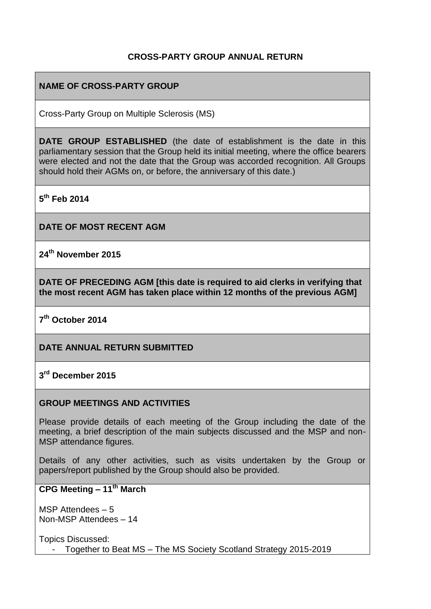# **CROSS-PARTY GROUP ANNUAL RETURN**

# **NAME OF CROSS-PARTY GROUP**

Cross-Party Group on Multiple Sclerosis (MS)

**DATE GROUP ESTABLISHED** (the date of establishment is the date in this parliamentary session that the Group held its initial meeting, where the office bearers were elected and not the date that the Group was accorded recognition. All Groups should hold their AGMs on, or before, the anniversary of this date.)

**5 th Feb 2014**

**DATE OF MOST RECENT AGM**

**24th November 2015**

**DATE OF PRECEDING AGM [this date is required to aid clerks in verifying that the most recent AGM has taken place within 12 months of the previous AGM]**

**7 th October 2014**

**DATE ANNUAL RETURN SUBMITTED**

**3 rd December 2015**

#### **GROUP MEETINGS AND ACTIVITIES**

Please provide details of each meeting of the Group including the date of the meeting, a brief description of the main subjects discussed and the MSP and non-MSP attendance figures.

Details of any other activities, such as visits undertaken by the Group or papers/report published by the Group should also be provided.

### **CPG Meeting – 11th March**

MSP Attendees – 5 Non-MSP Attendees – 14

Topics Discussed: - Together to Beat MS – The MS Society Scotland Strategy 2015-2019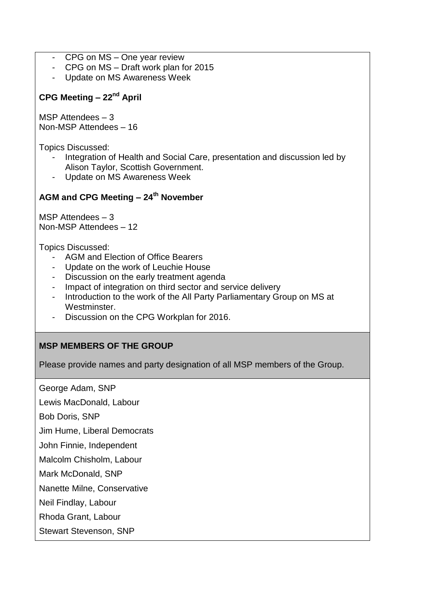- CPG on MS One year review
- CPG on MS Draft work plan for 2015
- Update on MS Awareness Week

# **CPG Meeting – 22nd April**

MSP Attendees – 3 Non-MSP Attendees – 16

Topics Discussed:

- Integration of Health and Social Care, presentation and discussion led by Alison Taylor, Scottish Government.
- Update on MS Awareness Week

# **AGM and CPG Meeting – 24th November**

MSP Attendees – 3 Non-MSP Attendees – 12

Topics Discussed:

- AGM and Election of Office Bearers
- Update on the work of Leuchie House
- Discussion on the early treatment agenda
- Impact of integration on third sector and service delivery
- Introduction to the work of the All Party Parliamentary Group on MS at Westminster.
- Discussion on the CPG Workplan for 2016.

#### **MSP MEMBERS OF THE GROUP**

Please provide names and party designation of all MSP members of the Group.

George Adam, SNP

Lewis MacDonald, Labour

Bob Doris, SNP

Jim Hume, Liberal Democrats

John Finnie, Independent

Malcolm Chisholm, Labour

Mark McDonald, SNP

Nanette Milne, Conservative

Neil Findlay, Labour

Rhoda Grant, Labour

Stewart Stevenson, SNP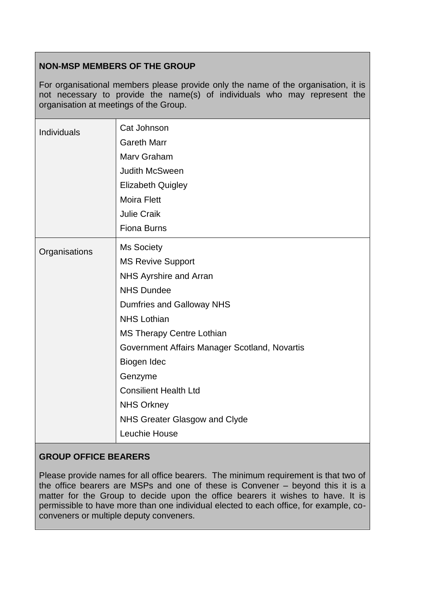# **NON-MSP MEMBERS OF THE GROUP**

For organisational members please provide only the name of the organisation, it is not necessary to provide the name(s) of individuals who may represent the organisation at meetings of the Group.

| <b>Individuals</b> | Cat Johnson<br><b>Gareth Marr</b><br>Marv Graham<br><b>Judith McSween</b><br><b>Elizabeth Quigley</b><br><b>Moira Flett</b><br><b>Julie Craik</b><br><b>Fiona Burns</b>                                                                                                                                                                                                      |
|--------------------|------------------------------------------------------------------------------------------------------------------------------------------------------------------------------------------------------------------------------------------------------------------------------------------------------------------------------------------------------------------------------|
| Organisations      | <b>Ms Society</b><br><b>MS Revive Support</b><br><b>NHS Ayrshire and Arran</b><br><b>NHS Dundee</b><br>Dumfries and Galloway NHS<br><b>NHS Lothian</b><br><b>MS Therapy Centre Lothian</b><br>Government Affairs Manager Scotland, Novartis<br>Biogen Idec<br>Genzyme<br><b>Consilient Health Ltd</b><br><b>NHS Orkney</b><br>NHS Greater Glasgow and Clyde<br>Leuchie House |

# **GROUP OFFICE BEARERS**

Please provide names for all office bearers. The minimum requirement is that two of the office bearers are MSPs and one of these is Convener – beyond this it is a matter for the Group to decide upon the office bearers it wishes to have. It is permissible to have more than one individual elected to each office, for example, coconveners or multiple deputy conveners.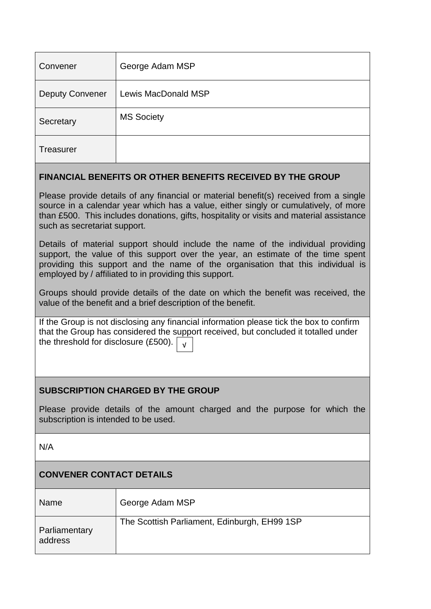| Convener               | George Adam MSP     |
|------------------------|---------------------|
| <b>Deputy Convener</b> | Lewis MacDonald MSP |
| Secretary              | <b>MS Society</b>   |
| <b>Treasurer</b>       |                     |

#### **FINANCIAL BENEFITS OR OTHER BENEFITS RECEIVED BY THE GROUP**

Please provide details of any financial or material benefit(s) received from a single source in a calendar year which has a value, either singly or cumulatively, of more than £500. This includes donations, gifts, hospitality or visits and material assistance such as secretariat support.

Details of material support should include the name of the individual providing support, the value of this support over the year, an estimate of the time spent providing this support and the name of the organisation that this individual is employed by / affiliated to in providing this support.

Groups should provide details of the date on which the benefit was received, the value of the benefit and a brief description of the benefit.

If the Group is not disclosing any financial information please tick the box to confirm that the Group has considered the support received, but concluded it totalled under the threshold for disclosure (£500). √

# **SUBSCRIPTION CHARGED BY THE GROUP**

Please provide details of the amount charged and the purpose for which the subscription is intended to be used.

N/A

# **CONVENER CONTACT DETAILS**

| <b>Name</b>              | George Adam MSP                              |
|--------------------------|----------------------------------------------|
| Parliamentary<br>address | The Scottish Parliament, Edinburgh, EH99 1SP |